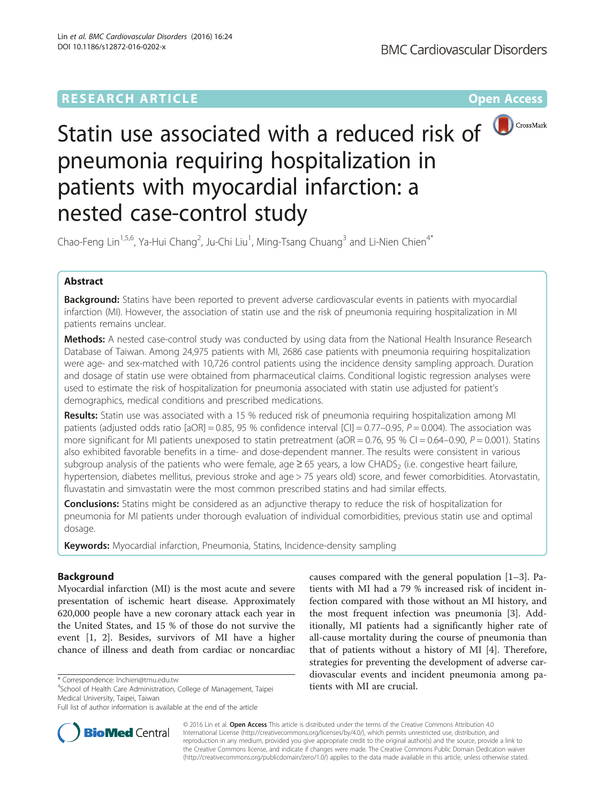## **RESEARCH ARTICLE Example 2014 12:30 The Contract of Contract ACCESS**



# Statin use associated with a reduced risk of pneumonia requiring hospitalization in patients with myocardial infarction: a nested case-control study

Chao-Feng Lin<sup>1,5,6</sup>, Ya-Hui Chang<sup>2</sup>, Ju-Chi Liu<sup>1</sup>, Ming-Tsang Chuang<sup>3</sup> and Li-Nien Chien<sup>4\*</sup>

## Abstract

Background: Statins have been reported to prevent adverse cardiovascular events in patients with myocardial infarction (MI). However, the association of statin use and the risk of pneumonia requiring hospitalization in MI patients remains unclear.

Methods: A nested case-control study was conducted by using data from the National Health Insurance Research Database of Taiwan. Among 24,975 patients with MI, 2686 case patients with pneumonia requiring hospitalization were age- and sex-matched with 10,726 control patients using the incidence density sampling approach. Duration and dosage of statin use were obtained from pharmaceutical claims. Conditional logistic regression analyses were used to estimate the risk of hospitalization for pneumonia associated with statin use adjusted for patient's demographics, medical conditions and prescribed medications.

Results: Statin use was associated with a 15 % reduced risk of pneumonia requiring hospitalization among MI patients (adjusted odds ratio [aOR] = 0.85, 95 % confidence interval [CI] = 0.77–0.95,  $P = 0.004$ ). The association was more significant for MI patients unexposed to statin pretreatment ( $aOR = 0.76$ , 95 % CI = 0.64–0.90, P = 0.001). Statins also exhibited favorable benefits in a time- and dose-dependent manner. The results were consistent in various subgroup analysis of the patients who were female, age  $\geq$  65 years, a low CHADS<sub>2</sub> (i.e. congestive heart failure, hypertension, diabetes mellitus, previous stroke and age > 75 years old) score, and fewer comorbidities. Atorvastatin, fluvastatin and simvastatin were the most common prescribed statins and had similar effects.

Conclusions: Statins might be considered as an adjunctive therapy to reduce the risk of hospitalization for pneumonia for MI patients under thorough evaluation of individual comorbidities, previous statin use and optimal dosage.

Keywords: Myocardial infarction, Pneumonia, Statins, Incidence-density sampling

### Background

Myocardial infarction (MI) is the most acute and severe presentation of ischemic heart disease. Approximately 620,000 people have a new coronary attack each year in the United States, and 15 % of those do not survive the event [[1, 2\]](#page-8-0). Besides, survivors of MI have a higher chance of illness and death from cardiac or noncardiac

**BioMed** Central

Medical University, Taipei, Taiwan

Full list of author information is available at the end of the article



© 2016 Lin et al. Open Access This article is distributed under the terms of the Creative Commons Attribution 4.0 International License [\(http://creativecommons.org/licenses/by/4.0/](http://creativecommons.org/licenses/by/4.0/)), which permits unrestricted use, distribution, and reproduction in any medium, provided you give appropriate credit to the original author(s) and the source, provide a link to the Creative Commons license, and indicate if changes were made. The Creative Commons Public Domain Dedication waiver [\(http://creativecommons.org/publicdomain/zero/1.0/](http://creativecommons.org/publicdomain/zero/1.0/)) applies to the data made available in this article, unless otherwise stated.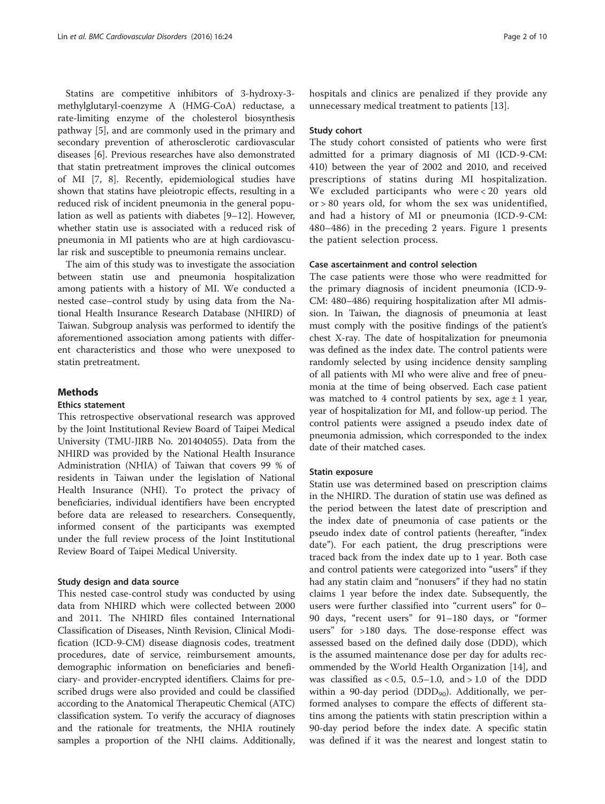Statins are competitive inhibitors of 3-hydroxy-3 methylglutaryl-coenzyme A (HMG-CoA) reductase, a rate-limiting enzyme of the cholesterol biosynthesis pathway [[5\]](#page-8-0), and are commonly used in the primary and secondary prevention of atherosclerotic cardiovascular diseases [[6\]](#page-8-0). Previous researches have also demonstrated that statin pretreatment improves the clinical outcomes of MI [\[7](#page-8-0), [8\]](#page-8-0). Recently, epidemiological studies have shown that statins have pleiotropic effects, resulting in a reduced risk of incident pneumonia in the general population as well as patients with diabetes [\[9](#page-8-0)–[12\]](#page-8-0). However, whether statin use is associated with a reduced risk of pneumonia in MI patients who are at high cardiovascular risk and susceptible to pneumonia remains unclear.

The aim of this study was to investigate the association between statin use and pneumonia hospitalization among patients with a history of MI. We conducted a nested case–control study by using data from the National Health Insurance Research Database (NHIRD) of Taiwan. Subgroup analysis was performed to identify the aforementioned association among patients with different characteristics and those who were unexposed to statin pretreatment.

#### **Methods**

#### Ethics statement

This retrospective observational research was approved by the Joint Institutional Review Board of Taipei Medical University (TMU-JIRB No. 201404055). Data from the NHIRD was provided by the National Health Insurance Administration (NHIA) of Taiwan that covers 99 % of residents in Taiwan under the legislation of National Health Insurance (NHI). To protect the privacy of beneficiaries, individual identifiers have been encrypted before data are released to researchers. Consequently, informed consent of the participants was exempted under the full review process of the Joint Institutional Review Board of Taipei Medical University.

#### Study design and data source

This nested case-control study was conducted by using data from NHIRD which were collected between 2000 and 2011. The NHIRD files contained International Classification of Diseases, Ninth Revision, Clinical Modification (ICD-9-CM) disease diagnosis codes, treatment procedures, date of service, reimbursement amounts, demographic information on beneficiaries and beneficiary- and provider-encrypted identifiers. Claims for prescribed drugs were also provided and could be classified according to the Anatomical Therapeutic Chemical (ATC) classification system. To verify the accuracy of diagnoses and the rationale for treatments, the NHIA routinely samples a proportion of the NHI claims. Additionally, hospitals and clinics are penalized if they provide any unnecessary medical treatment to patients [\[13](#page-8-0)].

#### Study cohort

The study cohort consisted of patients who were first admitted for a primary diagnosis of MI (ICD-9-CM: 410) between the year of 2002 and 2010, and received prescriptions of statins during MI hospitalization. We excluded participants who were < 20 years old or > 80 years old, for whom the sex was unidentified, and had a history of MI or pneumonia (ICD-9-CM: 480–486) in the preceding 2 years. Figure [1](#page-2-0) presents the patient selection process.

#### Case ascertainment and control selection

The case patients were those who were readmitted for the primary diagnosis of incident pneumonia (ICD-9- CM: 480–486) requiring hospitalization after MI admission. In Taiwan, the diagnosis of pneumonia at least must comply with the positive findings of the patient's chest X-ray. The date of hospitalization for pneumonia was defined as the index date. The control patients were randomly selected by using incidence density sampling of all patients with MI who were alive and free of pneumonia at the time of being observed. Each case patient was matched to 4 control patients by sex, age  $\pm$  1 year, year of hospitalization for MI, and follow-up period. The control patients were assigned a pseudo index date of pneumonia admission, which corresponded to the index date of their matched cases.

#### Statin exposure

Statin use was determined based on prescription claims in the NHIRD. The duration of statin use was defined as the period between the latest date of prescription and the index date of pneumonia of case patients or the pseudo index date of control patients (hereafter, "index date"). For each patient, the drug prescriptions were traced back from the index date up to 1 year. Both case and control patients were categorized into "users" if they had any statin claim and "nonusers" if they had no statin claims 1 year before the index date. Subsequently, the users were further classified into "current users" for 0– 90 days, "recent users" for 91–180 days, or "former users" for >180 days. The dose-response effect was assessed based on the defined daily dose (DDD), which is the assumed maintenance dose per day for adults recommended by the World Health Organization [[14\]](#page-8-0), and was classified as  $< 0.5, 0.5-1.0,$  and  $> 1.0$  of the DDD within a 90-day period (DDD $_{90}$ ). Additionally, we performed analyses to compare the effects of different statins among the patients with statin prescription within a 90-day period before the index date. A specific statin was defined if it was the nearest and longest statin to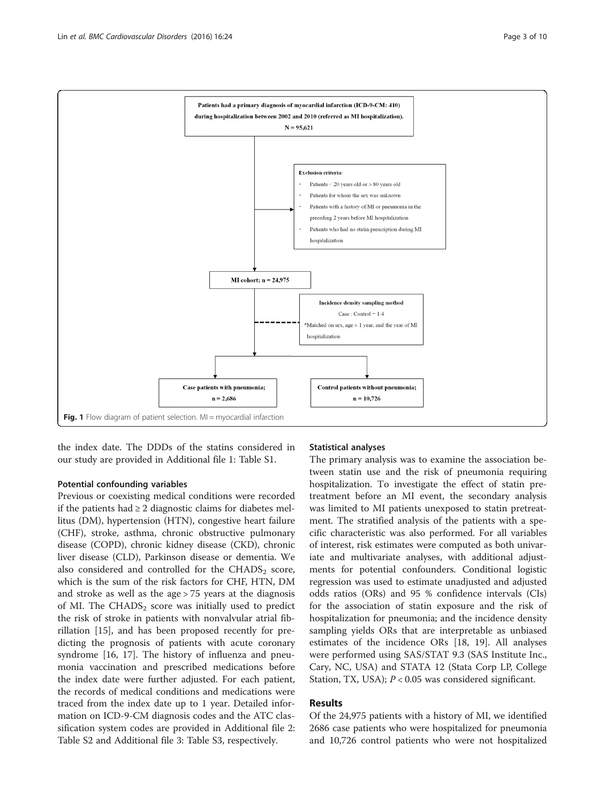<span id="page-2-0"></span>

the index date. The DDDs of the statins considered in our study are provided in Additional file [1](#page-7-0): Table S1.

#### Potential confounding variables

Previous or coexisting medical conditions were recorded if the patients had  $\geq 2$  diagnostic claims for diabetes mellitus (DM), hypertension (HTN), congestive heart failure (CHF), stroke, asthma, chronic obstructive pulmonary disease (COPD), chronic kidney disease (CKD), chronic liver disease (CLD), Parkinson disease or dementia. We also considered and controlled for the  $CHADS<sub>2</sub>$  score, which is the sum of the risk factors for CHF, HTN, DM and stroke as well as the age > 75 years at the diagnosis of MI. The CHADS<sub>2</sub> score was initially used to predict the risk of stroke in patients with nonvalvular atrial fibrillation [\[15](#page-8-0)], and has been proposed recently for predicting the prognosis of patients with acute coronary syndrome [\[16](#page-8-0), [17\]](#page-8-0). The history of influenza and pneumonia vaccination and prescribed medications before the index date were further adjusted. For each patient, the records of medical conditions and medications were traced from the index date up to 1 year. Detailed information on ICD-9-CM diagnosis codes and the ATC classification system codes are provided in Additional file [2](#page-7-0): Table S2 and Additional file [3:](#page-7-0) Table S3, respectively.

#### Statistical analyses

The primary analysis was to examine the association between statin use and the risk of pneumonia requiring hospitalization. To investigate the effect of statin pretreatment before an MI event, the secondary analysis was limited to MI patients unexposed to statin pretreatment. The stratified analysis of the patients with a specific characteristic was also performed. For all variables of interest, risk estimates were computed as both univariate and multivariate analyses, with additional adjustments for potential confounders. Conditional logistic regression was used to estimate unadjusted and adjusted odds ratios (ORs) and 95 % confidence intervals (CIs) for the association of statin exposure and the risk of hospitalization for pneumonia; and the incidence density sampling yields ORs that are interpretable as unbiased estimates of the incidence ORs [\[18, 19](#page-8-0)]. All analyses were performed using SAS/STAT 9.3 (SAS Institute Inc., Cary, NC, USA) and STATA 12 (Stata Corp LP, College Station, TX, USA);  $P < 0.05$  was considered significant.

#### Results

Of the 24,975 patients with a history of MI, we identified 2686 case patients who were hospitalized for pneumonia and 10,726 control patients who were not hospitalized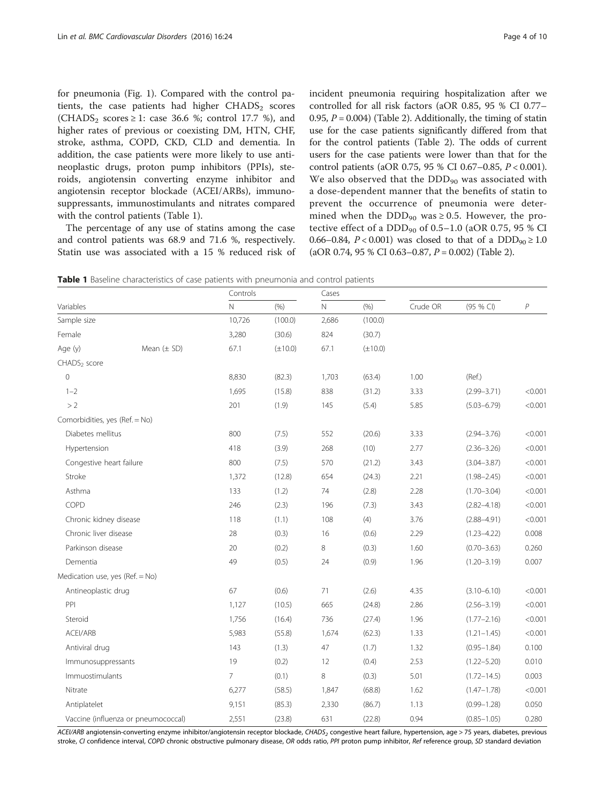for pneumonia (Fig. [1\)](#page-2-0). Compared with the control patients, the case patients had higher  $CHADS<sub>2</sub>$  scores (CHADS<sub>2</sub> scores  $\geq$  1: case 36.6 %; control 17.7 %), and higher rates of previous or coexisting DM, HTN, CHF, stroke, asthma, COPD, CKD, CLD and dementia. In addition, the case patients were more likely to use antineoplastic drugs, proton pump inhibitors (PPIs), steroids, angiotensin converting enzyme inhibitor and angiotensin receptor blockade (ACEI/ARBs), immunosuppressants, immunostimulants and nitrates compared with the control patients (Table 1).

The percentage of any use of statins among the case and control patients was 68.9 and 71.6 %, respectively. Statin use was associated with a 15 % reduced risk of incident pneumonia requiring hospitalization after we controlled for all risk factors (aOR 0.85, 95 % CI 0.77– 0.95,  $P = 0.004$ ) (Table [2](#page-4-0)). Additionally, the timing of statin use for the case patients significantly differed from that for the control patients (Table [2](#page-4-0)). The odds of current users for the case patients were lower than that for the control patients (aOR 0.75, 95 % CI 0.67–0.85, P < 0.001). We also observed that the  $DDD_{90}$  was associated with a dose-dependent manner that the benefits of statin to prevent the occurrence of pneumonia were determined when the DDD<sub>90</sub> was  $\geq$  0.5. However, the protective effect of a DDD<sub>90</sub> of 0.5–1.0 (aOR 0.75, 95 % CI 0.66–0.84,  $P < 0.001$ ) was closed to that of a DDD<sub>90</sub>  $\geq 1.0$  $(aOR 0.74, 95 % CI 0.63–0.87, P = 0.002)$  (Table [2](#page-4-0)).

**Table 1** Baseline characteristics of case patients with pneumonia and control patients

|                                 |                                     | Controls       |              |              |              |          |                 |         |
|---------------------------------|-------------------------------------|----------------|--------------|--------------|--------------|----------|-----------------|---------|
| Variables                       |                                     | $\overline{N}$ | (% )         | $\mathsf{N}$ | (% )         | Crude OR | (95 % CI)       | P       |
| Sample size                     |                                     | 10,726         | (100.0)      | 2,686        | (100.0)      |          |                 |         |
| Female                          |                                     | 3,280          | (30.6)       | 824          | (30.7)       |          |                 |         |
| Age (y)                         | Mean $(\pm$ SD)                     | 67.1           | $(\pm 10.0)$ | 67.1         | $(\pm 10.0)$ |          |                 |         |
| CHADS <sub>2</sub> score        |                                     |                |              |              |              |          |                 |         |
| $\Omega$                        |                                     | 8,830          | (82.3)       | 1,703        | (63.4)       | 1.00     | (Ref.)          |         |
| $1 - 2$                         |                                     | 1,695          | (15.8)       | 838          | (31.2)       | 3.33     | $(2.99 - 3.71)$ | < 0.001 |
| >2                              |                                     | 201            | (1.9)        | 145          | (5.4)        | 5.85     | $(5.03 - 6.79)$ | < 0.001 |
| Comorbidities, yes (Ref. = No)  |                                     |                |              |              |              |          |                 |         |
| Diabetes mellitus               |                                     | 800            | (7.5)        | 552          | (20.6)       | 3.33     | $(2.94 - 3.76)$ | < 0.001 |
| Hypertension                    |                                     | 418            | (3.9)        | 268          | (10)         | 2.77     | $(2.36 - 3.26)$ | < 0.001 |
| Congestive heart failure        |                                     | 800            | (7.5)        | 570          | (21.2)       | 3.43     | $(3.04 - 3.87)$ | < 0.001 |
| Stroke                          |                                     | 1,372          | (12.8)       | 654          | (24.3)       | 2.21     | $(1.98 - 2.45)$ | < 0.001 |
| Asthma                          |                                     | 133            | (1.2)        | 74           | (2.8)        | 2.28     | $(1.70 - 3.04)$ | < 0.001 |
| COPD                            |                                     | 246            | (2.3)        | 196          | (7.3)        | 3.43     | $(2.82 - 4.18)$ | < 0.001 |
| Chronic kidney disease          |                                     | 118            | (1.1)        | 108          | (4)          | 3.76     | $(2.88 - 4.91)$ | < 0.001 |
| Chronic liver disease           |                                     | 28             | (0.3)        | 16           | (0.6)        | 2.29     | $(1.23 - 4.22)$ | 0.008   |
| Parkinson disease               |                                     | 20             | (0.2)        | 8            | (0.3)        | 1.60     | $(0.70 - 3.63)$ | 0.260   |
| Dementia                        |                                     | 49             | (0.5)        | 24           | (0.9)        | 1.96     | $(1.20 - 3.19)$ | 0.007   |
| Medication use, yes (Ref. = No) |                                     |                |              |              |              |          |                 |         |
| Antineoplastic drug             |                                     | 67             | (0.6)        | 71           | (2.6)        | 4.35     | $(3.10 - 6.10)$ | < 0.001 |
| PPI                             |                                     | 1,127          | (10.5)       | 665          | (24.8)       | 2.86     | $(2.56 - 3.19)$ | < 0.001 |
| Steroid                         |                                     | 1,756          | (16.4)       | 736          | (27.4)       | 1.96     | $(1.77 - 2.16)$ | < 0.001 |
| ACEI/ARB                        |                                     | 5,983          | (55.8)       | 1,674        | (62.3)       | 1.33     | $(1.21 - 1.45)$ | < 0.001 |
| Antiviral drug                  |                                     | 143            | (1.3)        | 47           | (1.7)        | 1.32     | $(0.95 - 1.84)$ | 0.100   |
| Immunosuppressants              |                                     | 19             | (0.2)        | 12           | (0.4)        | 2.53     | $(1.22 - 5.20)$ | 0.010   |
| Immuostimulants                 |                                     | 7              | (0.1)        | 8            | (0.3)        | 5.01     | $(1.72 - 14.5)$ | 0.003   |
| Nitrate                         |                                     | 6,277          | (58.5)       | 1,847        | (68.8)       | 1.62     | $(1.47 - 1.78)$ | < 0.001 |
| Antiplatelet                    |                                     | 9,151          | (85.3)       | 2,330        | (86.7)       | 1.13     | $(0.99 - 1.28)$ | 0.050   |
|                                 | Vaccine (influenza or pneumococcal) | 2,551          | (23.8)       | 631          | (22.8)       | 0.94     | $(0.85 - 1.05)$ | 0.280   |

ACEI/ARB angiotensin-converting enzyme inhibitor/angiotensin receptor blockade, CHADS<sub>2</sub> congestive heart failure, hypertension, age > 75 years, diabetes, previous stroke, CI confidence interval, COPD chronic obstructive pulmonary disease, OR odds ratio, PPI proton pump inhibitor, Ref reference group, SD standard deviation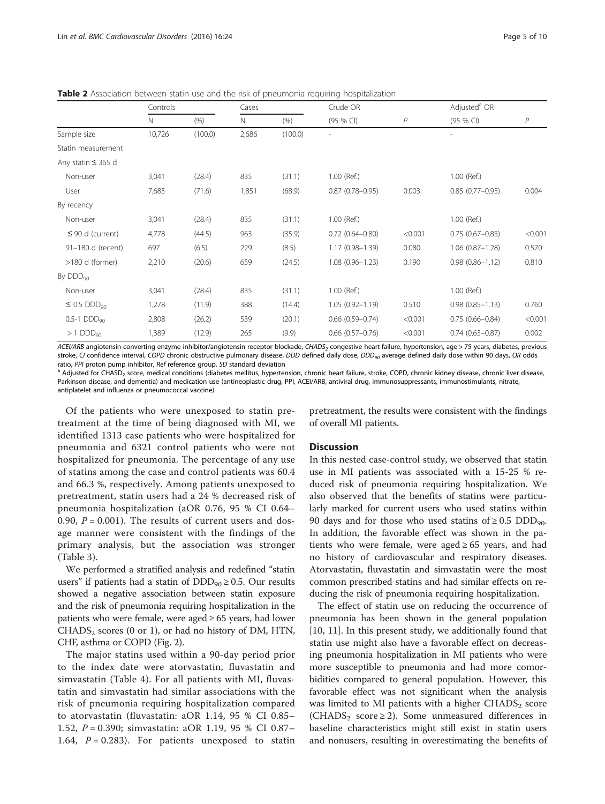|                              | Controls |         | Cases |         | Crude OR               |                | Adjusted <sup>a</sup> OR |         |
|------------------------------|----------|---------|-------|---------|------------------------|----------------|--------------------------|---------|
|                              | N        | (% )    | Ν     | (% )    | (95 % CI)              | $\overline{P}$ | $(95%$ CI)               | P       |
| Sample size                  | 10,726   | (100.0) | 2,686 | (100.0) |                        |                |                          |         |
| Statin measurement           |          |         |       |         |                        |                |                          |         |
| Any statin $\leq$ 365 d      |          |         |       |         |                        |                |                          |         |
| Non-user                     | 3,041    | (28.4)  | 835   | (31.1)  | 1.00 (Ref.)            |                | 1.00 (Ref.)              |         |
| User                         | 7,685    | (71.6)  | 1,851 | (68.9)  | $0.87(0.78 - 0.95)$    | 0.003          | $0.85(0.77-0.95)$        | 0.004   |
| By recency                   |          |         |       |         |                        |                |                          |         |
| Non-user                     | 3,041    | (28.4)  | 835   | (31.1)  | 1.00 (Ref.)            |                | 1.00 (Ref.)              |         |
| $\leq$ 90 d (current)        | 4,778    | (44.5)  | 963   | (35.9)  | $0.72(0.64 - 0.80)$    | < 0.001        | $0.75(0.67 - 0.85)$      | < 0.001 |
| 91-180 d (recent)            | 697      | (6.5)   | 229   | (8.5)   | 1.17 (0.98-1.39)       | 0.080          | $1.06$ $(0.87 - 1.28)$   | 0.570   |
| $>180$ d (former)            | 2,210    | (20.6)  | 659   | (24.5)  | $1.08(0.96 - 1.23)$    | 0.190          | $0.98(0.86 - 1.12)$      | 0.810   |
| By $DDD_{90}$                |          |         |       |         |                        |                |                          |         |
| Non-user                     | 3,041    | (28.4)  | 835   | (31.1)  | 1.00 (Ref.)            |                | 1.00 (Ref.)              |         |
| $\leq$ 0.5 DDD <sub>90</sub> | 1,278    | (11.9)  | 388   | (14.4)  | $1.05(0.92 - 1.19)$    | 0.510          | $0.98(0.85 - 1.13)$      | 0.760   |
| $0.5-1$ DDD <sub>90</sub>    | 2,808    | (26.2)  | 539   | (20.1)  | $0.66(0.59 - 0.74)$    | < 0.001        | $0.75(0.66 - 0.84)$      | < 0.001 |
| $>1$ DDD $_{90}$             | 1,389    | (12.9)  | 265   | (9.9)   | $0.66$ $(0.57 - 0.76)$ | < 0.001        | $0.74(0.63 - 0.87)$      | 0.002   |

<span id="page-4-0"></span>**Table 2** Association between statin use and the risk of pneumonia requiring hospitalization

ACEI/ARB angiotensin-converting enzyme inhibitor/angiotensin receptor blockade, CHADS<sub>2</sub> congestive heart failure, hypertension, age > 75 years, diabetes, previous stroke, CI confidence interval, COPD chronic obstructive pulmonary disease, DDD defined daily dose, DDD<sub>90</sub> average defined daily dose within 90 days, OR odds ratio, PPI proton pump inhibitor, Ref reference group, SD stand

<sup>a</sup> Adjusted for CHASD<sub>2</sub> score, medical conditions (diabetes mellitus, hypertension, chronic heart failure, stroke, COPD, chronic kidney disease, chronic liver disease, Parkinson disease, and dementia) and medication use (antineoplastic drug, PPI, ACEI/ARB, antiviral drug, immunosuppressants, immunostimulants, nitrate, antiplatelet and influenza or pneumococcal vaccine)

Of the patients who were unexposed to statin pretreatment at the time of being diagnosed with MI, we identified 1313 case patients who were hospitalized for pneumonia and 6321 control patients who were not hospitalized for pneumonia. The percentage of any use of statins among the case and control patients was 60.4 and 66.3 %, respectively. Among patients unexposed to pretreatment, statin users had a 24 % decreased risk of pneumonia hospitalization (aOR 0.76, 95 % CI 0.64– 0.90,  $P = 0.001$ ). The results of current users and dosage manner were consistent with the findings of the primary analysis, but the association was stronger (Table [3\)](#page-5-0).

We performed a stratified analysis and redefined "statin users" if patients had a statin of  $DDD_{90} \geq 0.5$ . Our results showed a negative association between statin exposure and the risk of pneumonia requiring hospitalization in the patients who were female, were aged  $\geq 65$  years, had lower  $CHADS<sub>2</sub>$  scores (0 or 1), or had no history of DM, HTN, CHF, asthma or COPD (Fig. [2](#page-5-0)).

The major statins used within a 90-day period prior to the index date were atorvastatin, fluvastatin and simvastatin (Table [4](#page-6-0)). For all patients with MI, fluvastatin and simvastatin had similar associations with the risk of pneumonia requiring hospitalization compared to atorvastatin (fluvastatin: aOR 1.14, 95 % CI 0.85– 1.52, P = 0.390; simvastatin: aOR 1.19, 95 % CI 0.87– 1.64,  $P = 0.283$ ). For patients unexposed to statin

pretreatment, the results were consistent with the findings of overall MI patients.

#### **Discussion**

In this nested case-control study, we observed that statin use in MI patients was associated with a 15-25 % reduced risk of pneumonia requiring hospitalization. We also observed that the benefits of statins were particularly marked for current users who used statins within 90 days and for those who used statins of  $\geq 0.5$  DDD<sub>90</sub>. In addition, the favorable effect was shown in the patients who were female, were aged  $\geq 65$  years, and had no history of cardiovascular and respiratory diseases. Atorvastatin, fluvastatin and simvastatin were the most common prescribed statins and had similar effects on reducing the risk of pneumonia requiring hospitalization.

The effect of statin use on reducing the occurrence of pneumonia has been shown in the general population [[10, 11\]](#page-8-0). In this present study, we additionally found that statin use might also have a favorable effect on decreasing pneumonia hospitalization in MI patients who were more susceptible to pneumonia and had more comorbidities compared to general population. However, this favorable effect was not significant when the analysis was limited to MI patients with a higher  $\text{CHADS}_2$  score (CHADS<sub>2</sub> score  $\geq$  2). Some unmeasured differences in baseline characteristics might still exist in statin users and nonusers, resulting in overestimating the benefits of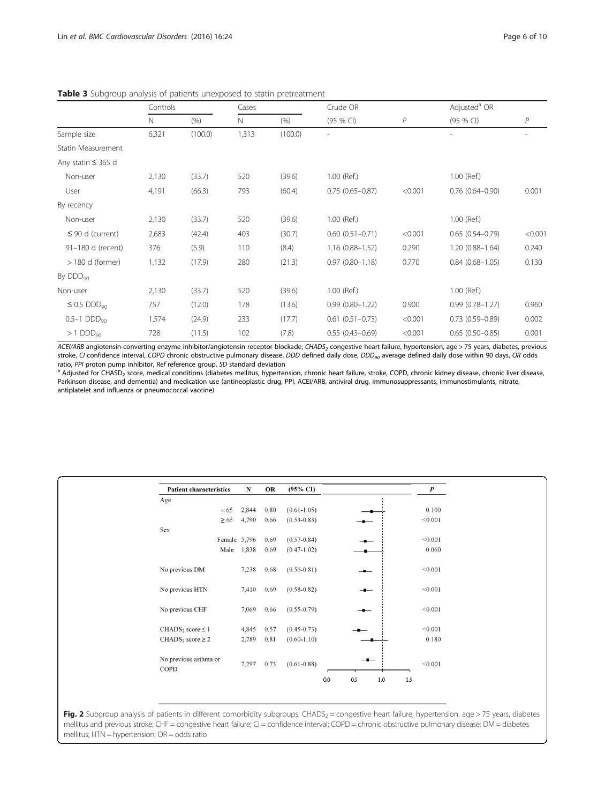|                              | Controls |         | Cases |         | Crude OR               |         | Adjusted <sup>a</sup> OR |         |
|------------------------------|----------|---------|-------|---------|------------------------|---------|--------------------------|---------|
|                              | Ν        | (% )    | N     | (9/6)   | (95 % CI)              | P       | (95 % CI)                | P       |
| Sample size                  | 6,321    | (100.0) | 1,313 | (100.0) |                        |         |                          |         |
| Statin Measurement           |          |         |       |         |                        |         |                          |         |
| Any statin $\leq$ 365 d      |          |         |       |         |                        |         |                          |         |
| Non-user                     | 2,130    | (33.7)  | 520   | (39.6)  | 1.00 (Ref.)            |         | 1.00 (Ref.)              |         |
| User                         | 4,191    | (66.3)  | 793   | (60.4)  | $0.75(0.65 - 0.87)$    | < 0.001 | $0.76(0.64 - 0.90)$      | 0.001   |
| By recency                   |          |         |       |         |                        |         |                          |         |
| Non-user                     | 2,130    | (33.7)  | 520   | (39.6)  | 1.00 (Ref.)            |         | 1.00 (Ref.)              |         |
| $\leq$ 90 d (current)        | 2,683    | (42.4)  | 403   | (30.7)  | $0.60$ $(0.51 - 0.71)$ | < 0.001 | $0.65(0.54 - 0.79)$      | < 0.001 |
| 91-180 d (recent)            | 376      | (5.9)   | 110   | (8.4)   | $1.16(0.88 - 1.52)$    | 0.290   | $1.20(0.88 - 1.64)$      | 0.240   |
| $>$ 180 d (former)           | 1,132    | (17.9)  | 280   | (21.3)  | $0.97(0.80 - 1.18)$    | 0.770   | $0.84(0.68 - 1.05)$      | 0.130   |
| By DDD <sub>90</sub>         |          |         |       |         |                        |         |                          |         |
| Non-user                     | 2,130    | (33.7)  | 520   | (39.6)  | 1.00 (Ref.)            |         | 1.00 (Ref.)              |         |
| $\leq$ 0.5 DDD <sub>90</sub> | 757      | (12.0)  | 178   | (13.6)  | $0.99(0.80 - 1.22)$    | 0.900   | $0.99(0.78 - 1.27)$      | 0.960   |
| $0.5-1$ DDD <sub>90</sub>    | 1,574    | (24.9)  | 233   | (17.7)  | $0.61(0.51 - 0.73)$    | < 0.001 | $0.73(0.59 - 0.89)$      | 0.002   |
| $>1$ DDD <sub>90</sub>       | 728      | (11.5)  | 102   | (7.8)   | $0.55(0.43 - 0.69)$    | < 0.001 | $0.65(0.50 - 0.85)$      | 0.001   |

<span id="page-5-0"></span>Table 3 Subgroup analysis of patients unexposed to statin pretreatment

ACEI/ARB angiotensin-converting enzyme inhibitor/angiotensin receptor blockade, CHADS<sub>2</sub> congestive heart failure, hypertension, age > 75 years, diabetes, previous stroke, CI confidence interval, COPD chronic obstructive pulmonary disease, DDD defined daily dose, DDD<sub>90</sub> average defined daily dose within 90 days, OR odds ratio, PPI proton pump inhibitor, Ref reference group, SD stand

<sup>a</sup> Adjusted for CHASD<sub>2</sub> score, medical conditions (diabetes mellitus, hypertension, chronic heart failure, stroke, COPD, chronic kidney disease, chronic liver disease, Parkinson disease, and dementia) and medication use (antineoplastic drug, PPI, ACEI/ARB, antiviral drug, immunosuppressants, immunostimulants, nitrate, antiplatelet and influenza or pneumococcal vaccine)

| <b>Patient characteristics</b>    | ${\bf N}$ | OR   | $(95\% \text{ CI})$ |     |     |       |     | $\boldsymbol{P}$ |
|-----------------------------------|-----------|------|---------------------|-----|-----|-------|-----|------------------|
| Age                               |           |      |                     |     |     |       |     |                  |
| < 65                              | 2,844     | 0.80 | $(0.61 - 1.05)$     |     |     |       |     | 0.100            |
| $\geq 65$                         | 4,790     | 0.66 | $(0.53 - 0.83)$     |     |     |       |     | < 0.001          |
| Sex                               |           |      |                     |     |     |       |     |                  |
| Female 5,796                      |           | 0.69 | $(0.57 - 0.84)$     |     |     |       |     | < 0.001          |
| Male                              | 1,838     | 0.69 | $(0.47 - 1.02)$     |     |     |       |     | 0.060            |
| No previous DM                    | 7,238     | 0.68 | $(0.56 - 0.81)$     |     |     |       |     | < 0.001          |
| No previous HTN                   | 7,410     | 0.69 | $(0.58 - 0.82)$     |     |     |       |     | < 0.001          |
| No previous CHF                   | 7,069     | 0.66 | $(0.55 - 0.79)$     |     |     |       |     | < 0.001          |
| CHADS <sub>2</sub> score $\leq$ 1 | 4,845     | 0.57 | $(0.45 - 0.73)$     |     |     |       |     | < 0.001          |
| $CHADS2 score \ge 2$              | 2,789     | 0.81 | $(0.60 - 1.10)$     |     |     |       |     | 0.180            |
| No previous asthma or<br>COPD     | 7,297     | 0.73 | $(0.61 - 0.88)$     |     |     |       |     | < 0.001          |
|                                   |           |      |                     | 0.0 | 0.5 | $1.0$ | 1.5 |                  |

Fig. 2 Subgroup analysis of patients in different comorbidity subgroups. CHADS<sub>2</sub> = congestive heart failure, hypertension, age > 75 years, diabetes mellitus and previous stroke; CHF = congestive heart failure; CI = confidence interval; COPD = chronic obstructive pulmonary disease; DM = diabetes mellitus; HTN = hypertension; OR = odds ratio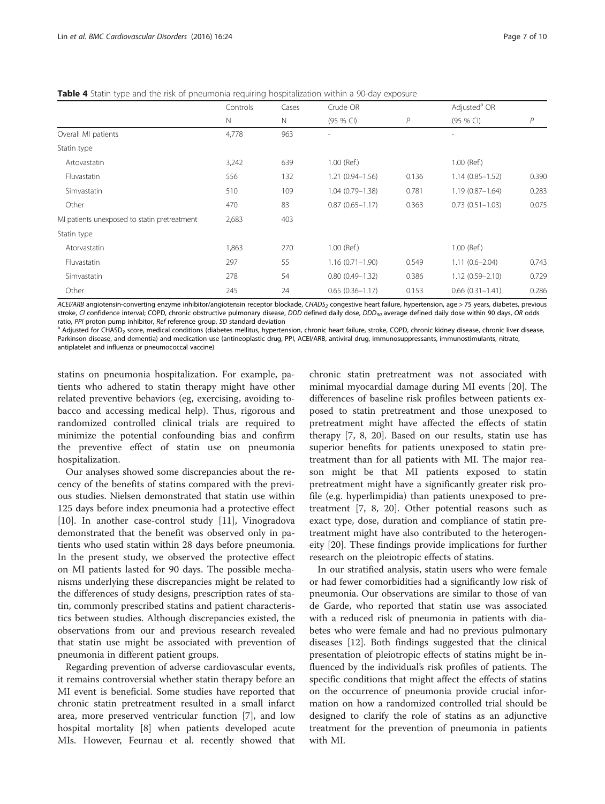<span id="page-6-0"></span>**Table 4** Statin type and the risk of pneumonia requiring hospitalization within a 90-day exposure

|                                              | Controls | Cases | Crude OR            |              | Adjusted <sup>a</sup> OR |              |
|----------------------------------------------|----------|-------|---------------------|--------------|--------------------------|--------------|
|                                              | N        | Ν     | $(95%$ CI)          | $\mathcal P$ | (95 % CI)                | $\mathcal P$ |
| Overall MI patients                          | 4,778    | 963   |                     |              |                          |              |
| Statin type                                  |          |       |                     |              |                          |              |
| Artovastatin                                 | 3,242    | 639   | 1.00 (Ref.)         |              | 1.00 (Ref.)              |              |
| Fluvastatin                                  | 556      | 132   | $1.21(0.94 - 1.56)$ | 0.136        | $1.14(0.85 - 1.52)$      | 0.390        |
| Simvastatin                                  | 510      | 109   | $1.04(0.79 - 1.38)$ | 0.781        | $1.19(0.87 - 1.64)$      | 0.283        |
| Other                                        | 470      | 83    | $0.87(0.65 - 1.17)$ | 0.363        | $0.73(0.51 - 1.03)$      | 0.075        |
| MI patients unexposed to statin pretreatment | 2,683    | 403   |                     |              |                          |              |
| Statin type                                  |          |       |                     |              |                          |              |
| Atorvastatin                                 | 1,863    | 270   | 1.00 (Ref.)         |              | 1.00 (Ref.)              |              |
| Fluvastatin                                  | 297      | 55    | $1.16(0.71 - 1.90)$ | 0.549        | $1.11(0.6 - 2.04)$       | 0.743        |
| Simvastatin                                  | 278      | 54    | $0.80(0.49 - 1.32)$ | 0.386        | $1.12(0.59 - 2.10)$      | 0.729        |
| Other                                        | 245      | 24    | $0.65(0.36 - 1.17)$ | 0.153        | $0.66$ $(0.31 - 1.41)$   | 0.286        |

ACEI/ARB angiotensin-converting enzyme inhibitor/angiotensin receptor blockade, CHADS<sub>2</sub> congestive heart failure, hypertension, age > 75 years, diabetes, previous stroke, CI confidence interval; COPD, chronic obstructive pulmonary disease, DDD defined daily dose, DDD<sub>90</sub> average defined daily dose within 90 days, OR odds

ratio, PPI proton pump inhibitor, Ref reference group, SD standard deviation<br><sup>a</sup> Adjusted for CHASD<sub>2</sub> score, medical conditions (diabetes mellitus, hypertension, chronic heart failure, stroke, COPD, chronic kidney disease Parkinson disease, and dementia) and medication use (antineoplastic drug, PPI, ACEI/ARB, antiviral drug, immunosuppressants, immunostimulants, nitrate, antiplatelet and influenza or pneumococcal vaccine)

statins on pneumonia hospitalization. For example, patients who adhered to statin therapy might have other related preventive behaviors (eg, exercising, avoiding tobacco and accessing medical help). Thus, rigorous and randomized controlled clinical trials are required to minimize the potential confounding bias and confirm the preventive effect of statin use on pneumonia hospitalization.

Our analyses showed some discrepancies about the recency of the benefits of statins compared with the previous studies. Nielsen demonstrated that statin use within 125 days before index pneumonia had a protective effect [[10\]](#page-8-0). In another case-control study [\[11](#page-8-0)], Vinogradova demonstrated that the benefit was observed only in patients who used statin within 28 days before pneumonia. In the present study, we observed the protective effect on MI patients lasted for 90 days. The possible mechanisms underlying these discrepancies might be related to the differences of study designs, prescription rates of statin, commonly prescribed statins and patient characteristics between studies. Although discrepancies existed, the observations from our and previous research revealed that statin use might be associated with prevention of pneumonia in different patient groups.

Regarding prevention of adverse cardiovascular events, it remains controversial whether statin therapy before an MI event is beneficial. Some studies have reported that chronic statin pretreatment resulted in a small infarct area, more preserved ventricular function [[7](#page-8-0)], and low hospital mortality [\[8](#page-8-0)] when patients developed acute MIs. However, Feurnau et al. recently showed that

chronic statin pretreatment was not associated with minimal myocardial damage during MI events [[20\]](#page-8-0). The differences of baseline risk profiles between patients exposed to statin pretreatment and those unexposed to pretreatment might have affected the effects of statin therapy [[7, 8](#page-8-0), [20](#page-8-0)]. Based on our results, statin use has superior benefits for patients unexposed to statin pretreatment than for all patients with MI. The major reason might be that MI patients exposed to statin pretreatment might have a significantly greater risk profile (e.g. hyperlimpidia) than patients unexposed to pretreatment [\[7](#page-8-0), [8, 20](#page-8-0)]. Other potential reasons such as exact type, dose, duration and compliance of statin pretreatment might have also contributed to the heterogeneity [[20\]](#page-8-0). These findings provide implications for further research on the pleiotropic effects of statins.

In our stratified analysis, statin users who were female or had fewer comorbidities had a significantly low risk of pneumonia. Our observations are similar to those of van de Garde, who reported that statin use was associated with a reduced risk of pneumonia in patients with diabetes who were female and had no previous pulmonary diseases [\[12\]](#page-8-0). Both findings suggested that the clinical presentation of pleiotropic effects of statins might be influenced by the individual's risk profiles of patients. The specific conditions that might affect the effects of statins on the occurrence of pneumonia provide crucial information on how a randomized controlled trial should be designed to clarify the role of statins as an adjunctive treatment for the prevention of pneumonia in patients with MI.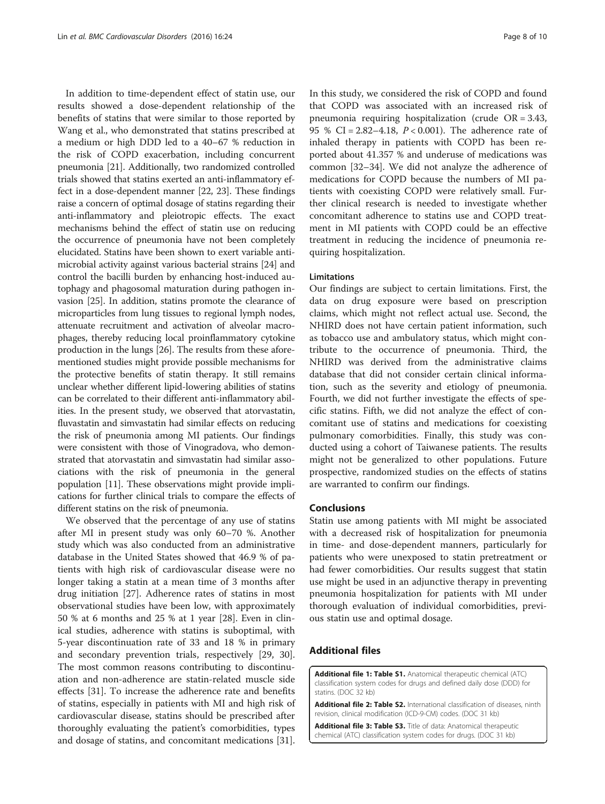<span id="page-7-0"></span>In addition to time-dependent effect of statin use, our results showed a dose-dependent relationship of the benefits of statins that were similar to those reported by Wang et al., who demonstrated that statins prescribed at a medium or high DDD led to a 40–67 % reduction in the risk of COPD exacerbation, including concurrent pneumonia [\[21\]](#page-8-0). Additionally, two randomized controlled trials showed that statins exerted an anti-inflammatory effect in a dose-dependent manner [\[22, 23\]](#page-8-0). These findings raise a concern of optimal dosage of statins regarding their anti-inflammatory and pleiotropic effects. The exact mechanisms behind the effect of statin use on reducing the occurrence of pneumonia have not been completely elucidated. Statins have been shown to exert variable antimicrobial activity against various bacterial strains [\[24\]](#page-8-0) and control the bacilli burden by enhancing host-induced autophagy and phagosomal maturation during pathogen invasion [[25](#page-8-0)]. In addition, statins promote the clearance of microparticles from lung tissues to regional lymph nodes, attenuate recruitment and activation of alveolar macrophages, thereby reducing local proinflammatory cytokine production in the lungs [[26](#page-8-0)]. The results from these aforementioned studies might provide possible mechanisms for the protective benefits of statin therapy. It still remains unclear whether different lipid-lowering abilities of statins can be correlated to their different anti-inflammatory abilities. In the present study, we observed that atorvastatin, fluvastatin and simvastatin had similar effects on reducing the risk of pneumonia among MI patients. Our findings were consistent with those of Vinogradova, who demonstrated that atorvastatin and simvastatin had similar associations with the risk of pneumonia in the general population [\[11](#page-8-0)]. These observations might provide implications for further clinical trials to compare the effects of different statins on the risk of pneumonia.

We observed that the percentage of any use of statins after MI in present study was only 60–70 %. Another study which was also conducted from an administrative database in the United States showed that 46.9 % of patients with high risk of cardiovascular disease were no longer taking a statin at a mean time of 3 months after drug initiation [\[27\]](#page-8-0). Adherence rates of statins in most observational studies have been low, with approximately 50 % at 6 months and 25 % at 1 year [[28\]](#page-8-0). Even in clinical studies, adherence with statins is suboptimal, with 5-year discontinuation rate of 33 and 18 % in primary and secondary prevention trials, respectively [[29, 30](#page-8-0)]. The most common reasons contributing to discontinuation and non-adherence are statin-related muscle side effects [\[31](#page-8-0)]. To increase the adherence rate and benefits of statins, especially in patients with MI and high risk of cardiovascular disease, statins should be prescribed after thoroughly evaluating the patient's comorbidities, types and dosage of statins, and concomitant medications [\[31](#page-8-0)]. In this study, we considered the risk of COPD and found that COPD was associated with an increased risk of pneumonia requiring hospitalization (crude OR = 3.43, 95 % CI = 2.82–4.18,  $P < 0.001$ ). The adherence rate of inhaled therapy in patients with COPD has been reported about 41.357 % and underuse of medications was common [\[32](#page-9-0)–[34\]](#page-9-0). We did not analyze the adherence of medications for COPD because the numbers of MI patients with coexisting COPD were relatively small. Further clinical research is needed to investigate whether concomitant adherence to statins use and COPD treatment in MI patients with COPD could be an effective treatment in reducing the incidence of pneumonia requiring hospitalization.

#### **Limitations**

Our findings are subject to certain limitations. First, the data on drug exposure were based on prescription claims, which might not reflect actual use. Second, the NHIRD does not have certain patient information, such as tobacco use and ambulatory status, which might contribute to the occurrence of pneumonia. Third, the NHIRD was derived from the administrative claims database that did not consider certain clinical information, such as the severity and etiology of pneumonia. Fourth, we did not further investigate the effects of specific statins. Fifth, we did not analyze the effect of concomitant use of statins and medications for coexisting pulmonary comorbidities. Finally, this study was conducted using a cohort of Taiwanese patients. The results might not be generalized to other populations. Future prospective, randomized studies on the effects of statins are warranted to confirm our findings.

#### Conclusions

Statin use among patients with MI might be associated with a decreased risk of hospitalization for pneumonia in time- and dose-dependent manners, particularly for patients who were unexposed to statin pretreatment or had fewer comorbidities. Our results suggest that statin use might be used in an adjunctive therapy in preventing pneumonia hospitalization for patients with MI under thorough evaluation of individual comorbidities, previous statin use and optimal dosage.

#### Additional files

[Additional file 1: Table S1.](dx.doi.org/10.1186/s12872-016-0202-x) Anatomical therapeutic chemical (ATC) classification system codes for drugs and defined daily dose (DDD) for statins. (DOC 32 kb)

[Additional file 2: Table S2.](dx.doi.org/10.1186/s12872-016-0202-x) International classification of diseases, ninth revision, clinical modification (ICD-9-CM) codes. (DOC 31 kb)

[Additional file 3: Table S3.](dx.doi.org/10.1186/s12872-016-0202-x) Title of data: Anatomical therapeutic chemical (ATC) classification system codes for drugs. (DOC 31 kb)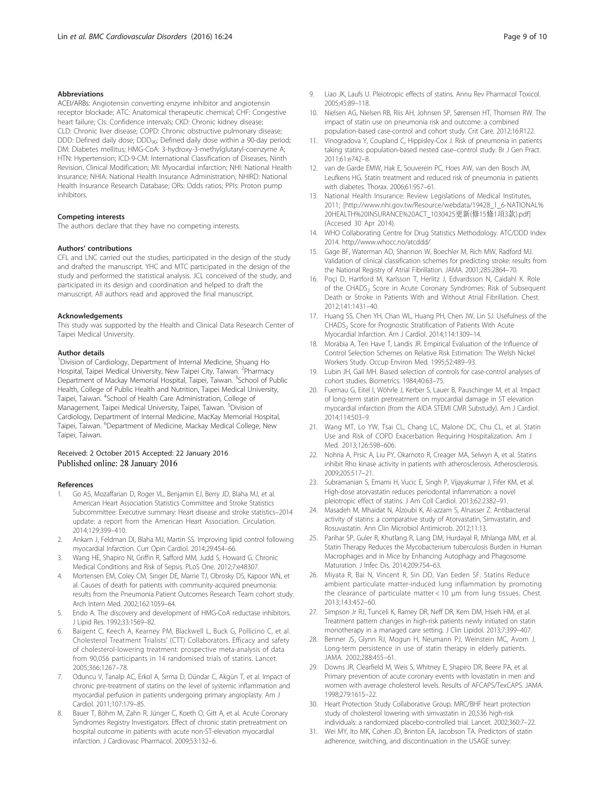#### <span id="page-8-0"></span>Abbreviations

ACEI/ARBs: Angiotensin converting enzyme inhibitor and angiotensin receptor blockade; ATC: Anatomical therapeutic chemical; CHF: Congestive heart failure; CIs: Confidence intervals; CKD: Chronic kidney disease; CLD: Chronic liver disease; COPD: Chronic obstructive pulmonary disease; DDD: Defined daily dose; DDD<sub>90</sub>: Defined daily dose within a 90-day period; DM: Diabetes mellitus; HMG-CoA: 3-hydroxy-3-methylglutaryl-coenzyme A; HTN: Hypertension; ICD-9-CM: International Classification of Diseases, Ninth Revision, Clinical Modification; MI: Myocardial infarction; NHI: National Health Insurance; NHIA: National Health Insurance Administration; NHIRD: National Health Insurance Research Database; ORs: Odds ratios; PPIs: Proton pump inhibitors.

#### Competing interests

The authors declare that they have no competing interests.

#### Authors' contributions

CFL and LNC carried out the studies, participated in the design of the study and drafted the manuscript. YHC and MTC participated in the design of the study and performed the statistical analysis. JCL conceived of the study, and participated in its design and coordination and helped to draft the manuscript. All authors read and approved the final manuscript.

#### Acknowledgements

This study was supported by the Health and Clinical Data Research Center of Taipei Medical University.

#### Author details

<sup>1</sup> Division of Cardiology, Department of Internal Medicine, Shuang Ho Hospital, Taipei Medical University, New Taipei City, Taiwan. <sup>2</sup>Pharmacy Department of Mackay Memorial Hospital, Taipei, Taiwan. <sup>3</sup>School of Public Health, College of Public Health and Nutrition, Taipei Medical University, Taipei, Taiwan. <sup>4</sup>School of Health Care Administration, College of Management, Taipei Medical University, Taipei, Taiwan. <sup>5</sup>Division of Cardiology, Department of Internal Medicine, MacKay Memorial Hospital, Taipei, Taiwan. <sup>6</sup>Department of Medicine, Mackay Medical College, New Taipei, Taiwan.

#### Received: 2 October 2015 Accepted: 22 January 2016 Published online: 28 January 2016

#### References

- 1. Go AS, Mozaffarian D, Roger VL, Benjamin EJ, Berry JD, Blaha MJ, et al. American Heart Association Statistics Committee and Stroke Statistics Subcommittee: Executive summary: Heart disease and stroke statistics–2014 update: a report from the American Heart Association. Circulation. 2014;129:399–410.
- 2. Ankam J, Feldman DI, Blaha MJ, Martin SS. Improving lipid control following myocardial Infarction. Curr Opin Cardiol. 2014;29:454–66.
- 3. Wang HE, Shapiro NI, Griffin R, Safford MM, Judd S, Howard G. Chronic Medical Conditions and Risk of Sepsis. PLoS One. 2012;7:e48307.
- 4. Mortensen EM, Coley CM, Singer DE, Marrie TJ, Obrosky DS, Kapoor WN, et al. Causes of death for patients with community-acquired pneumonia: results from the Pneumonia Patient Outcomes Research Team cohort study. Arch Intern Med. 2002;162:1059–64.
- 5. Endo A. The discovery and development of HMG-CoA reductase inhibitors. J Lipid Res. 1992;33:1569–82.
- Baigent C, Keech A, Kearney PM, Blackwell L, Buck G, Pollicino C, et al. Cholesterol Treatment Trialists' (CTT) Collaborators. Efficacy and safety of cholesterol-lowering treatment: prospective meta-analysis of data from 90,056 participants in 14 randomised trials of statins. Lancet. 2005;366:1267–78.
- 7. Oduncu V, Tanalp AC, Erkol A, Sırma D, Dündar C, Akgün T, et al. Impact of chronic pre-treatment of statins on the level of systemic inflammation and myocardial perfusion in patients undergoing primary angioplasty. Am J Cardiol. 2011;107:179–85.
- 8. Bauer T, Böhm M, Zahn R, Jünger C, Koeth O, Gitt A, et al. Acute Coronary Syndromes Registry Investigators. Effect of chronic statin pretreatment on hospital outcome in patients with acute non-ST-elevation myocardial infarction. J Cardiovasc Pharmacol. 2009;53:132–6.
- 9. Liao JK, Laufs U. Pleiotropic effects of statins. Annu Rev Pharmacol Toxicol. 2005;45:89–118.
- 10. Nielsen AG, Nielsen RB, Riis AH, Johnsen SP, Sørensen HT, Thomsen RW. The impact of statin use on pneumonia risk and outcome: a combined population-based case-control and cohort study. Crit Care. 2012;16:R122.
- 11. Vinogradova Y, Coupland C, Hippisley-Cox J. Risk of pneumonia in patients taking statins: population-based nested case–control study. Br J Gen Pract. 2011;61:e742–8.
- 12. van de Garde EMW, Hak E, Souverein PC, Hoes AW, van den Bosch JM, Leufkens HG. Statin treatment and reduced risk of pneumonia in patients with diabetes. Thorax. 2006;61:957–61.
- 13. National Health Insurance: Review Legislations of Medical Institutes, 2011; [[http://www.nhi.gov.tw/Resource/webdata/19428\\_1\\_6-NATIONAL%](http://www.nhi.gov.tw/Resource/webdata/19428_1_6-NATIONAL%20HEALTH%20INSURANCE%20ACT_1030425%E6%9B%B4%E6%96%B0(%E4%BF%AE15%E6%A2%9D1%E9%A0%853%E6%AC%BE).pdf) [20HEALTH%20INSURANCE%20ACT\\_1030425](http://www.nhi.gov.tw/Resource/webdata/19428_1_6-NATIONAL%20HEALTH%20INSURANCE%20ACT_1030425%E6%9B%B4%E6%96%B0(%E4%BF%AE15%E6%A2%9D1%E9%A0%853%E6%AC%BE).pdf)更新(修15條1項3款).pdf] (Accesed 30 Apr 2014).
- 14. WHO Collaborating Centre for Drug Statistics Methodology. ATC/DDD Index 2014.<http://www.whocc.no/atcddd/>
- 15. Gage BF, Waterman AD, Shannon W, Boechler M, Rich MW, Radford MJ. Validation of clinical classification schemes for predicting stroke: results from the National Registry of Atrial Fibrillation. JAMA. 2001;285:2864–70.
- 16. Poçi D, Hartford M, Karlsson T, Herlitz J, Edvardsson N, Caidahl K. Role of the CHADS<sub>2</sub> Score in Acute Coronary Syndromes: Risk of Subsequent Death or Stroke in Patients With and Without Atrial Fibrillation. Chest. 2012;141:1431–40.
- 17. Huang SS, Chen YH, Chan WL, Huang PH, Chen JW, Lin SJ. Usefulness of the CHADS<sub>2</sub> Score for Prognostic Stratification of Patients With Acute Myocardial Infarction. Am J Cardiol. 2014;114:1309–14.
- 18. Morabia A, Ten Have T, Landis JR. Empirical Evaluation of the Influence of Control Selection Schemes on Relative Risk Estimation: The Welsh Nickel Workers Study. Occup Environ Med. 1995;52:489–93.
- 19. Lubin JH, Gail MH. Biased selection of controls for case-control analyses of cohort studies. Biometrics. 1984;40:63–75.
- 20. Fuernau G, Eitel I, Wöhrle J, Kerber S, Lauer B, Pauschinger M, et al. Impact of long-term statin pretreatment on myocardial damage in ST elevation myocardial infarction (from the AIDA STEMI CMR Substudy). Am J Cardiol. 2014;114:503–9.
- 21. Wang MT, Lo YW, Tsai CL, Chang LC, Malone DC, Chu CL, et al. Statin Use and Risk of COPD Exacerbation Requiring Hospitalization. Am J Med. 2013;126:598–606.
- 22. Nohria A, Prsic A, Liu PY, Okamoto R, Creager MA, Selwyn A, et al. Statins inhibit Rho kinase activity in patients with atherosclerosis. Atherosclerosis. 2009;205:517–21.
- 23. Subramanian S, Emami H, Vucic E, Singh P, Vijayakumar J, Fifer KM, et al. High-dose atorvastatin reduces periodontal inflammation: a novel pleiotropic effect of statins. J Am Coll Cardiol. 2013;62:2382–91.
- 24. Masadeh M, Mhaidat N, Alzoubi K, Al-azzam S, Alnasser Z. Antibacterial activity of statins: a comparative study of Atorvastatin, Simvastatin, and Rosuvastatin. Ann Clin Microbiol Antimicrob. 2012;11:13.
- 25. Parihar SP, Guler R, Khutlang R, Lang DM, Hurdayal R, Mhlanga MM, et al. Statin Therapy Reduces the Mycobacterium tuberculosis Burden in Human Macrophages and in Mice by Enhancing Autophagy and Phagosome Maturation. J Infec Dis. 2014;209:754–63.
- 26. Miyata R, Bai N, Vincent R, Sin DD, Van Eeden SF. Statins Reduce ambient particulate matter-induced lung inflammation by promoting the clearance of particulate matter < 10 μm from lung tissues. Chest. 2013;143:452–60.
- 27. Simpson Jr RJ, Tunceli K, Ramey DR, Neff DR, Kern DM, Hsieh HM, et al. Treatment pattern changes in high-risk patients newly initiated on statin monotherapy in a managed care setting. J Clin Lipidol. 2013;7:399–407.
- 28. Benner JS, Glynn RJ, Mogun H, Neumann PJ, Weinstein MC, Avorn J. Long-term persistence in use of statin therapy in elderly patients. JAMA. 2002;288:455–61.
- 29. Downs JR, Clearfield M, Weis S, Whitney E, Shapiro DR, Beere PA, et al. Primary prevention of acute coronary events with lovastatin in men and women with average cholesterol levels. Results of AFCAPS/TexCAPS. JAMA. 1998;279:1615–22.
- 30. Heart Protection Study Collaborative Group. MRC/BHF heart protection study of cholesterol lowering with simvastatin in 20,536 high-risk individuals: a randomized placebo-controlled trial. Lancet. 2002;360:7–22.
- 31. Wei MY, Ito MK, Cohen JD, Brinton EA, Jacobson TA. Predictors of statin adherence, switching, and discontinuation in the USAGE survey: